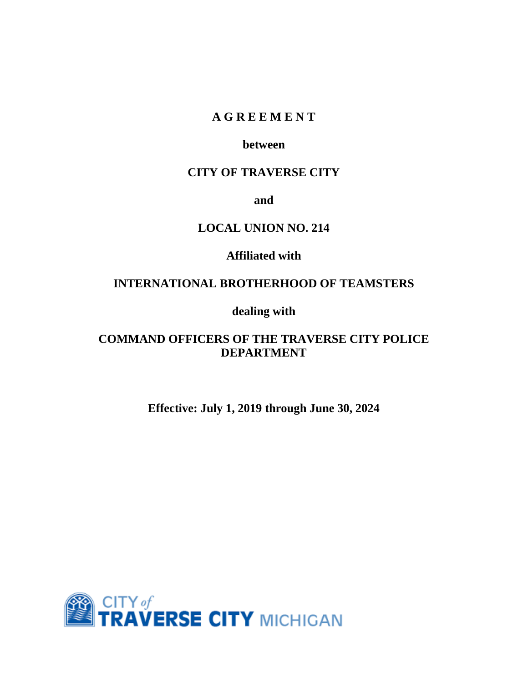# **A G R E E M E N T**

# **between**

# **CITY OF TRAVERSE CITY**

**and**

# **LOCAL UNION NO. 214**

# **Affiliated with**

# **INTERNATIONAL BROTHERHOOD OF TEAMSTERS**

**dealing with**

# **COMMAND OFFICERS OF THE TRAVERSE CITY POLICE DEPARTMENT**

**Effective: July 1, 2019 through June 30, 2024**

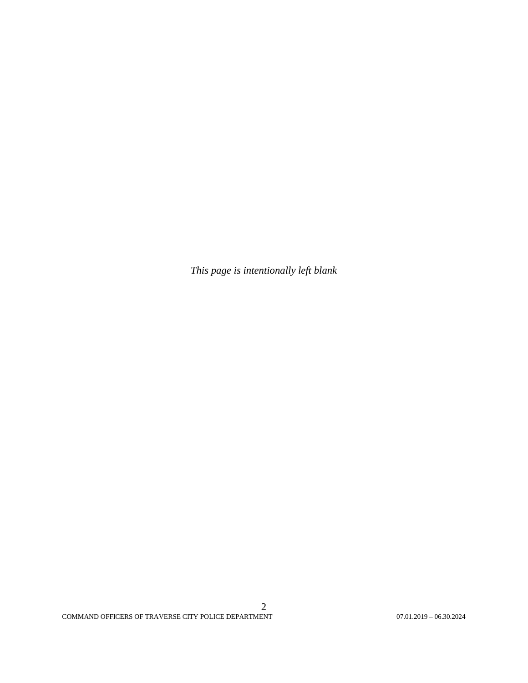*This page is intentionally left blank*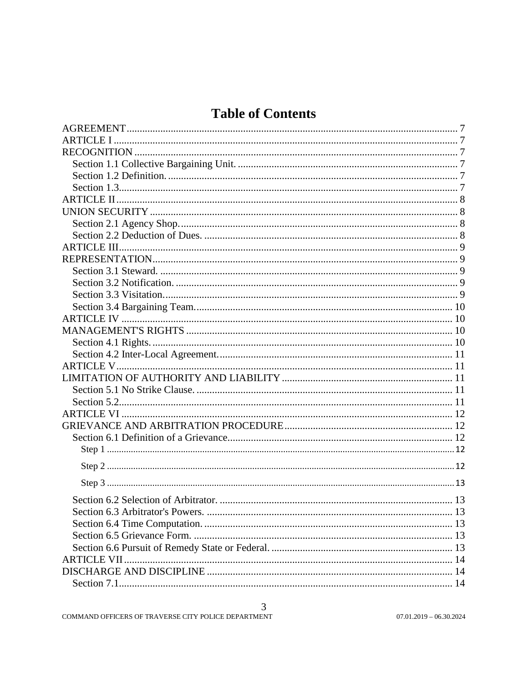# **Table of Contents**

| <b>ARTICLE VII.</b> |  |
|---------------------|--|
|                     |  |
|                     |  |
|                     |  |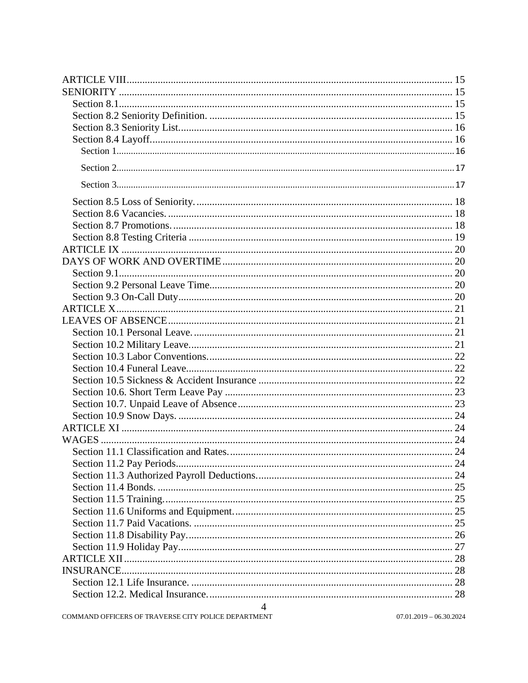| $\overline{4}$ |  |  |  |
|----------------|--|--|--|

 $07.01.2019 - 06.30.2024$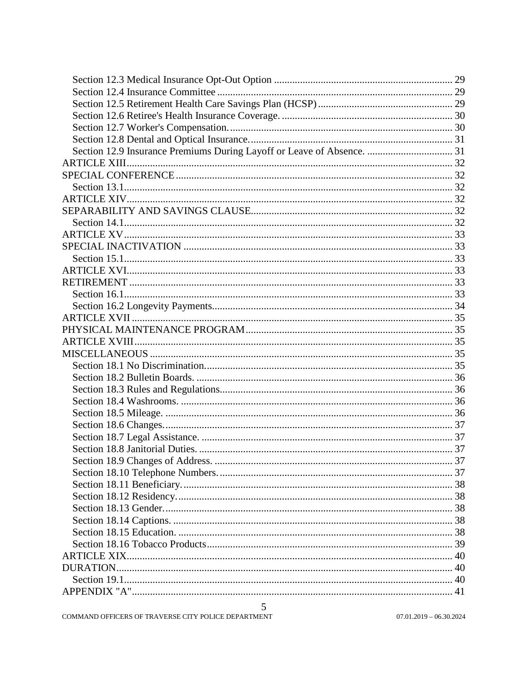| Section 12.9 Insurance Premiums During Layoff or Leave of Absence.  31 |  |
|------------------------------------------------------------------------|--|
|                                                                        |  |
|                                                                        |  |
|                                                                        |  |
|                                                                        |  |
|                                                                        |  |
|                                                                        |  |
|                                                                        |  |
|                                                                        |  |
|                                                                        |  |
|                                                                        |  |
|                                                                        |  |
|                                                                        |  |
|                                                                        |  |
|                                                                        |  |
|                                                                        |  |
|                                                                        |  |
|                                                                        |  |
|                                                                        |  |
|                                                                        |  |
|                                                                        |  |
|                                                                        |  |
|                                                                        |  |
|                                                                        |  |
|                                                                        |  |
|                                                                        |  |
|                                                                        |  |
|                                                                        |  |
|                                                                        |  |
|                                                                        |  |
|                                                                        |  |
|                                                                        |  |
|                                                                        |  |
|                                                                        |  |
|                                                                        |  |
|                                                                        |  |
|                                                                        |  |
|                                                                        |  |
|                                                                        |  |

 $07.01.2019 - 06.30.2024$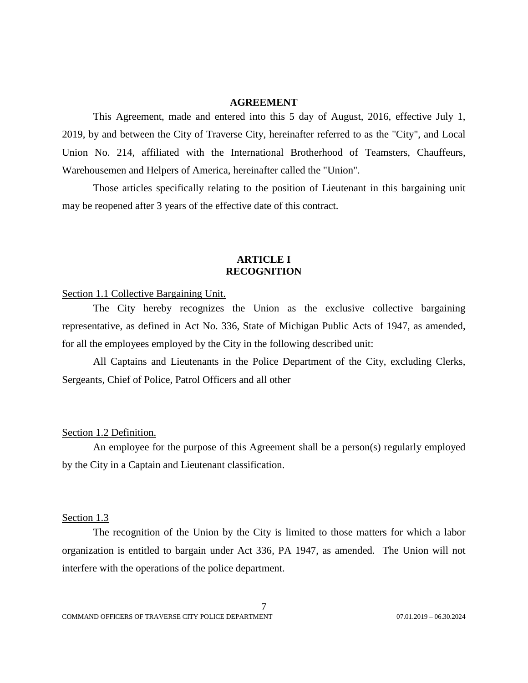### **AGREEMENT**

<span id="page-6-0"></span>This Agreement, made and entered into this 5 day of August, 2016, effective July 1, 2019, by and between the City of Traverse City, hereinafter referred to as the "City", and Local Union No. 214, affiliated with the International Brotherhood of Teamsters, Chauffeurs, Warehousemen and Helpers of America, hereinafter called the "Union".

Those articles specifically relating to the position of Lieutenant in this bargaining unit may be reopened after 3 years of the effective date of this contract.

## **ARTICLE I RECOGNITION**

## <span id="page-6-3"></span><span id="page-6-2"></span><span id="page-6-1"></span>Section 1.1 Collective Bargaining Unit.

The City hereby recognizes the Union as the exclusive collective bargaining representative, as defined in Act No. 336, State of Michigan Public Acts of 1947, as amended, for all the employees employed by the City in the following described unit:

All Captains and Lieutenants in the Police Department of the City, excluding Clerks, Sergeants, Chief of Police, Patrol Officers and all other

## <span id="page-6-4"></span>Section 1.2 Definition.

An employee for the purpose of this Agreement shall be a person(s) regularly employed by the City in a Captain and Lieutenant classification.

#### <span id="page-6-5"></span>Section 1.3

The recognition of the Union by the City is limited to those matters for which a labor organization is entitled to bargain under Act 336, PA 1947, as amended. The Union will not interfere with the operations of the police department.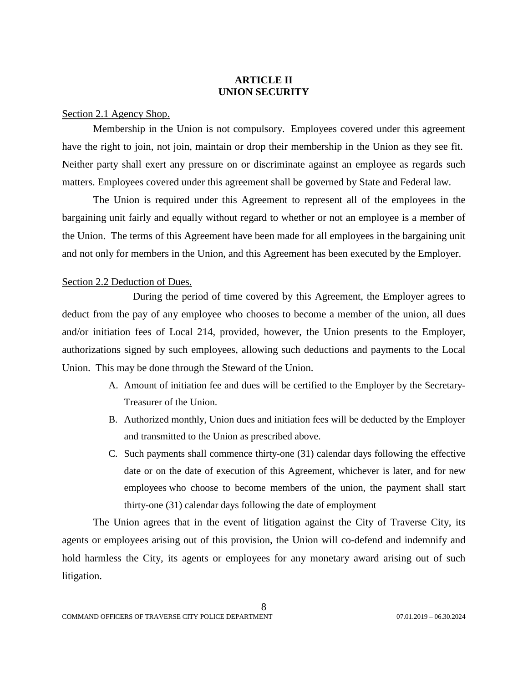## **ARTICLE II UNION SECURITY**

## <span id="page-7-2"></span><span id="page-7-1"></span><span id="page-7-0"></span>Section 2.1 Agency Shop.

Membership in the Union is not compulsory. Employees covered under this agreement have the right to join, not join, maintain or drop their membership in the Union as they see fit. Neither party shall exert any pressure on or discriminate against an employee as regards such matters. Employees covered under this agreement shall be governed by State and Federal law.

The Union is required under this Agreement to represent all of the employees in the bargaining unit fairly and equally without regard to whether or not an employee is a member of the Union. The terms of this Agreement have been made for all employees in the bargaining unit and not only for members in the Union, and this Agreement has been executed by the Employer.

## <span id="page-7-3"></span>Section 2.2 Deduction of Dues.

During the period of time covered by this Agreement, the Employer agrees to deduct from the pay of any employee who chooses to become a member of the union, all dues and/or initiation fees of Local 214, provided, however, the Union presents to the Employer, authorizations signed by such employees, allowing such deductions and payments to the Local Union. This may be done through the Steward of the Union.

- A. Amount of initiation fee and dues will be certified to the Employer by the Secretary-Treasurer of the Union.
- B. Authorized monthly, Union dues and initiation fees will be deducted by the Employer and transmitted to the Union as prescribed above.
- C. Such payments shall commence thirty-one (31) calendar days following the effective date or on the date of execution of this Agreement, whichever is later, and for new employees who choose to become members of the union, the payment shall start thirty-one (31) calendar days following the date of employment

The Union agrees that in the event of litigation against the City of Traverse City, its agents or employees arising out of this provision, the Union will co-defend and indemnify and hold harmless the City, its agents or employees for any monetary award arising out of such litigation.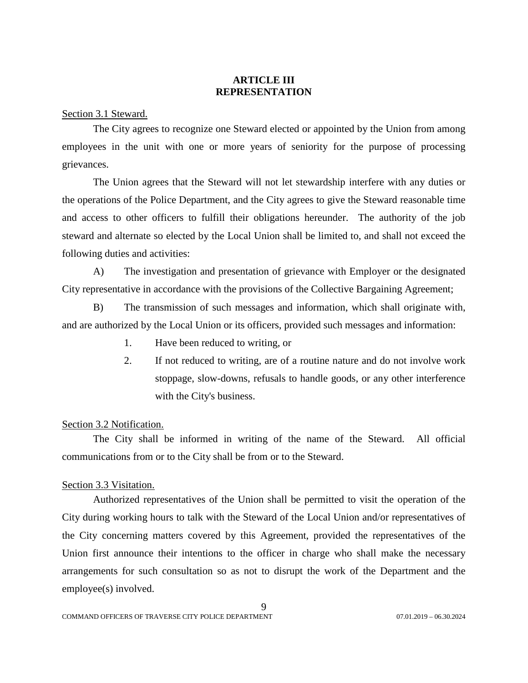## **ARTICLE III REPRESENTATION**

## <span id="page-8-2"></span><span id="page-8-1"></span><span id="page-8-0"></span>Section 3.1 Steward.

The City agrees to recognize one Steward elected or appointed by the Union from among employees in the unit with one or more years of seniority for the purpose of processing grievances.

The Union agrees that the Steward will not let stewardship interfere with any duties or the operations of the Police Department, and the City agrees to give the Steward reasonable time and access to other officers to fulfill their obligations hereunder. The authority of the job steward and alternate so elected by the Local Union shall be limited to, and shall not exceed the following duties and activities:

A) The investigation and presentation of grievance with Employer or the designated City representative in accordance with the provisions of the Collective Bargaining Agreement;

B) The transmission of such messages and information, which shall originate with, and are authorized by the Local Union or its officers, provided such messages and information:

- 1. Have been reduced to writing, or
- 2. If not reduced to writing, are of a routine nature and do not involve work stoppage, slow-downs, refusals to handle goods, or any other interference with the City's business.

## <span id="page-8-3"></span>Section 3.2 Notification.

The City shall be informed in writing of the name of the Steward. All official communications from or to the City shall be from or to the Steward.

## <span id="page-8-4"></span>Section 3.3 Visitation.

Authorized representatives of the Union shall be permitted to visit the operation of the City during working hours to talk with the Steward of the Local Union and/or representatives of the City concerning matters covered by this Agreement, provided the representatives of the Union first announce their intentions to the officer in charge who shall make the necessary arrangements for such consultation so as not to disrupt the work of the Department and the employee(s) involved.

9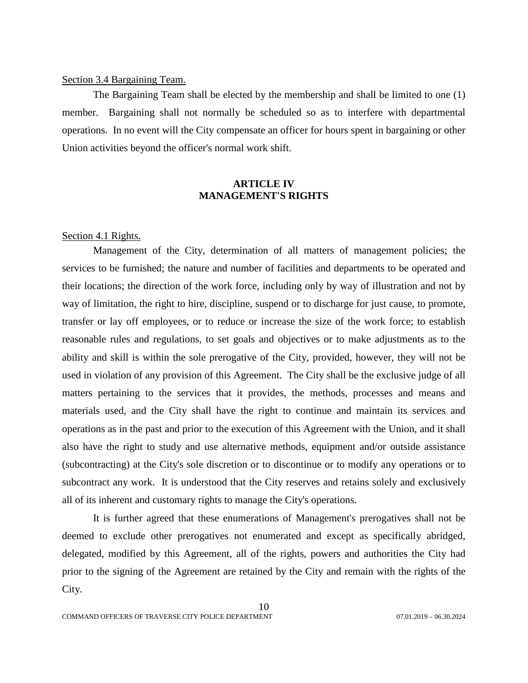## <span id="page-9-0"></span>Section 3.4 Bargaining Team.

The Bargaining Team shall be elected by the membership and shall be limited to one (1) member. Bargaining shall not normally be scheduled so as to interfere with departmental operations. In no event will the City compensate an officer for hours spent in bargaining or other Union activities beyond the officer's normal work shift.

## **ARTICLE IV MANAGEMENT'S RIGHTS**

## <span id="page-9-3"></span><span id="page-9-2"></span><span id="page-9-1"></span>Section 4.1 Rights.

Management of the City, determination of all matters of management policies; the services to be furnished; the nature and number of facilities and departments to be operated and their locations; the direction of the work force, including only by way of illustration and not by way of limitation, the right to hire, discipline, suspend or to discharge for just cause, to promote, transfer or lay off employees, or to reduce or increase the size of the work force; to establish reasonable rules and regulations, to set goals and objectives or to make adjustments as to the ability and skill is within the sole prerogative of the City, provided, however, they will not be used in violation of any provision of this Agreement. The City shall be the exclusive judge of all matters pertaining to the services that it provides, the methods, processes and means and materials used, and the City shall have the right to continue and maintain its services and operations as in the past and prior to the execution of this Agreement with the Union, and it shall also have the right to study and use alternative methods, equipment and/or outside assistance (subcontracting) at the City's sole discretion or to discontinue or to modify any operations or to subcontract any work. It is understood that the City reserves and retains solely and exclusively all of its inherent and customary rights to manage the City's operations.

It is further agreed that these enumerations of Management's prerogatives shall not be deemed to exclude other prerogatives not enumerated and except as specifically abridged, delegated, modified by this Agreement, all of the rights, powers and authorities the City had prior to the signing of the Agreement are retained by the City and remain with the rights of the City.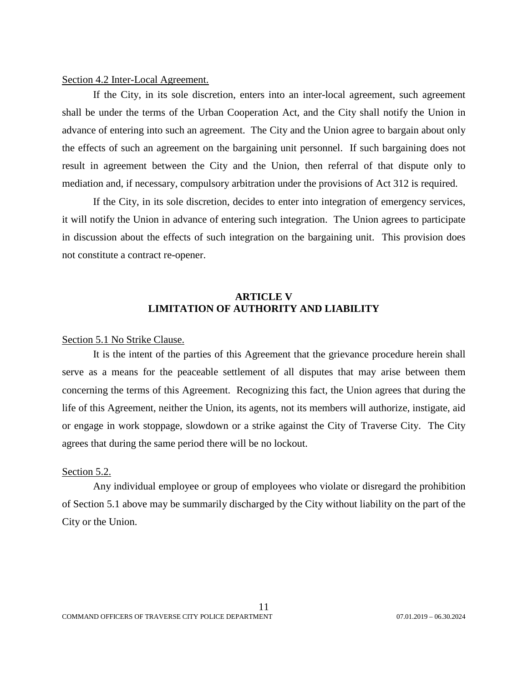## <span id="page-10-0"></span>Section 4.2 Inter-Local Agreement.

If the City, in its sole discretion, enters into an inter-local agreement, such agreement shall be under the terms of the Urban Cooperation Act, and the City shall notify the Union in advance of entering into such an agreement. The City and the Union agree to bargain about only the effects of such an agreement on the bargaining unit personnel. If such bargaining does not result in agreement between the City and the Union, then referral of that dispute only to mediation and, if necessary, compulsory arbitration under the provisions of Act 312 is required.

If the City, in its sole discretion, decides to enter into integration of emergency services, it will notify the Union in advance of entering such integration. The Union agrees to participate in discussion about the effects of such integration on the bargaining unit. This provision does not constitute a contract re-opener.

## **ARTICLE V LIMITATION OF AUTHORITY AND LIABILITY**

### <span id="page-10-3"></span><span id="page-10-2"></span><span id="page-10-1"></span>Section 5.1 No Strike Clause.

It is the intent of the parties of this Agreement that the grievance procedure herein shall serve as a means for the peaceable settlement of all disputes that may arise between them concerning the terms of this Agreement. Recognizing this fact, the Union agrees that during the life of this Agreement, neither the Union, its agents, not its members will authorize, instigate, aid or engage in work stoppage, slowdown or a strike against the City of Traverse City. The City agrees that during the same period there will be no lockout.

## <span id="page-10-4"></span>Section 5.2.

Any individual employee or group of employees who violate or disregard the prohibition of Section 5.1 above may be summarily discharged by the City without liability on the part of the City or the Union.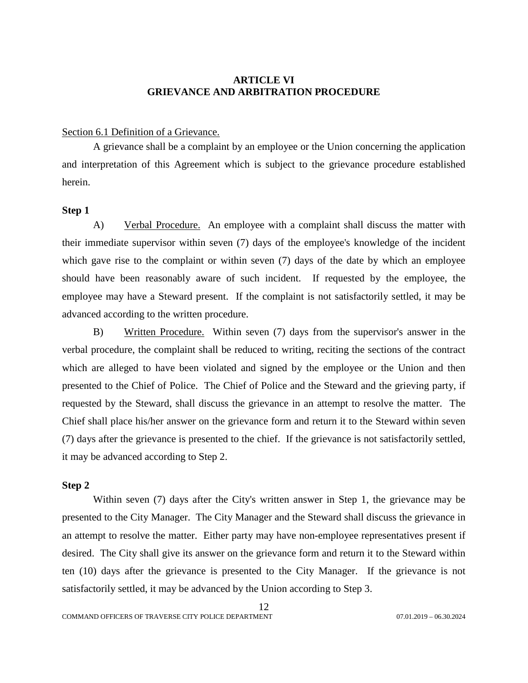## **ARTICLE VI GRIEVANCE AND ARBITRATION PROCEDURE**

### <span id="page-11-2"></span><span id="page-11-1"></span><span id="page-11-0"></span>Section 6.1 Definition of a Grievance.

A grievance shall be a complaint by an employee or the Union concerning the application and interpretation of this Agreement which is subject to the grievance procedure established herein.

## <span id="page-11-3"></span>**Step 1**

A) Verbal Procedure. An employee with a complaint shall discuss the matter with their immediate supervisor within seven (7) days of the employee's knowledge of the incident which gave rise to the complaint or within seven (7) days of the date by which an employee should have been reasonably aware of such incident. If requested by the employee, the employee may have a Steward present. If the complaint is not satisfactorily settled, it may be advanced according to the written procedure.

B) Written Procedure. Within seven (7) days from the supervisor's answer in the verbal procedure, the complaint shall be reduced to writing, reciting the sections of the contract which are alleged to have been violated and signed by the employee or the Union and then presented to the Chief of Police. The Chief of Police and the Steward and the grieving party, if requested by the Steward, shall discuss the grievance in an attempt to resolve the matter. The Chief shall place his/her answer on the grievance form and return it to the Steward within seven (7) days after the grievance is presented to the chief. If the grievance is not satisfactorily settled, it may be advanced according to Step 2.

### <span id="page-11-4"></span>**Step 2**

Within seven (7) days after the City's written answer in Step 1, the grievance may be presented to the City Manager. The City Manager and the Steward shall discuss the grievance in an attempt to resolve the matter. Either party may have non-employee representatives present if desired. The City shall give its answer on the grievance form and return it to the Steward within ten (10) days after the grievance is presented to the City Manager. If the grievance is not satisfactorily settled, it may be advanced by the Union according to Step 3.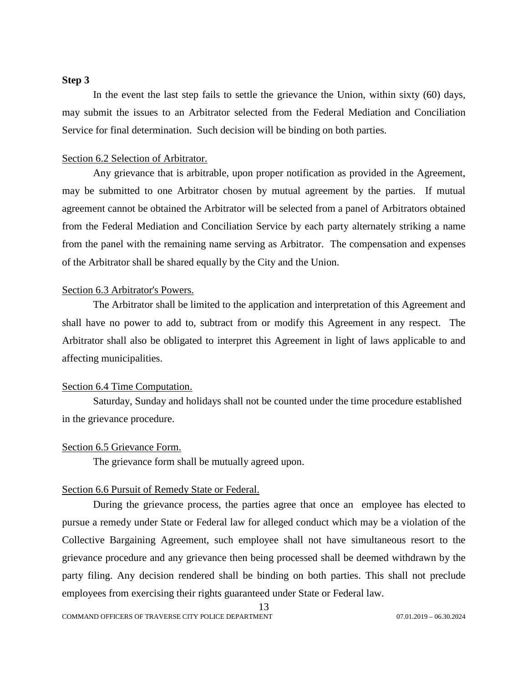## <span id="page-12-0"></span>**Step 3**

In the event the last step fails to settle the grievance the Union, within sixty (60) days, may submit the issues to an Arbitrator selected from the Federal Mediation and Conciliation Service for final determination. Such decision will be binding on both parties.

## <span id="page-12-1"></span>Section 6.2 Selection of Arbitrator.

Any grievance that is arbitrable, upon proper notification as provided in the Agreement, may be submitted to one Arbitrator chosen by mutual agreement by the parties. If mutual agreement cannot be obtained the Arbitrator will be selected from a panel of Arbitrators obtained from the Federal Mediation and Conciliation Service by each party alternately striking a name from the panel with the remaining name serving as Arbitrator. The compensation and expenses of the Arbitrator shall be shared equally by the City and the Union.

## <span id="page-12-2"></span>Section 6.3 Arbitrator's Powers.

The Arbitrator shall be limited to the application and interpretation of this Agreement and shall have no power to add to, subtract from or modify this Agreement in any respect. The Arbitrator shall also be obligated to interpret this Agreement in light of laws applicable to and affecting municipalities.

## <span id="page-12-3"></span>Section 6.4 Time Computation.

Saturday, Sunday and holidays shall not be counted under the time procedure established in the grievance procedure.

### <span id="page-12-4"></span>Section 6.5 Grievance Form.

The grievance form shall be mutually agreed upon.

## <span id="page-12-5"></span>Section 6.6 Pursuit of Remedy State or Federal.

During the grievance process, the parties agree that once an employee has elected to pursue a remedy under State or Federal law for alleged conduct which may be a violation of the Collective Bargaining Agreement, such employee shall not have simultaneous resort to the grievance procedure and any grievance then being processed shall be deemed withdrawn by the party filing. Any decision rendered shall be binding on both parties. This shall not preclude employees from exercising their rights guaranteed under State or Federal law.

13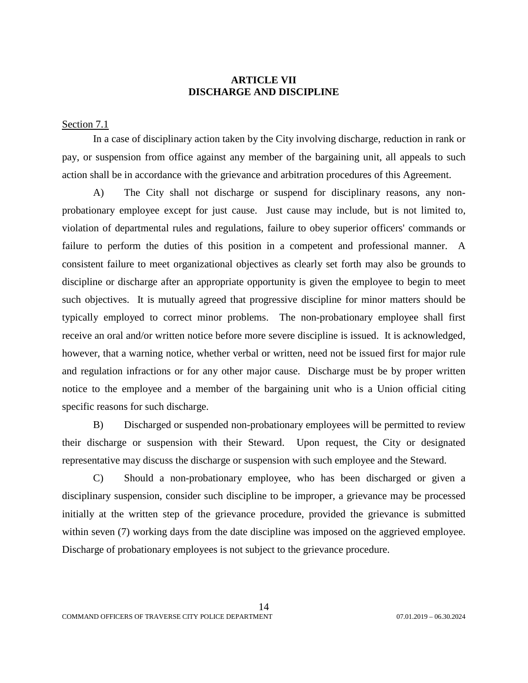## **ARTICLE VII DISCHARGE AND DISCIPLINE**

## <span id="page-13-2"></span><span id="page-13-1"></span><span id="page-13-0"></span>Section 7.1

In a case of disciplinary action taken by the City involving discharge, reduction in rank or pay, or suspension from office against any member of the bargaining unit, all appeals to such action shall be in accordance with the grievance and arbitration procedures of this Agreement.

A) The City shall not discharge or suspend for disciplinary reasons, any nonprobationary employee except for just cause. Just cause may include, but is not limited to, violation of departmental rules and regulations, failure to obey superior officers' commands or failure to perform the duties of this position in a competent and professional manner. A consistent failure to meet organizational objectives as clearly set forth may also be grounds to discipline or discharge after an appropriate opportunity is given the employee to begin to meet such objectives. It is mutually agreed that progressive discipline for minor matters should be typically employed to correct minor problems. The non-probationary employee shall first receive an oral and/or written notice before more severe discipline is issued. It is acknowledged, however, that a warning notice, whether verbal or written, need not be issued first for major rule and regulation infractions or for any other major cause. Discharge must be by proper written notice to the employee and a member of the bargaining unit who is a Union official citing specific reasons for such discharge.

B) Discharged or suspended non-probationary employees will be permitted to review their discharge or suspension with their Steward. Upon request, the City or designated representative may discuss the discharge or suspension with such employee and the Steward.

C) Should a non-probationary employee, who has been discharged or given a disciplinary suspension, consider such discipline to be improper, a grievance may be processed initially at the written step of the grievance procedure, provided the grievance is submitted within seven (7) working days from the date discipline was imposed on the aggrieved employee. Discharge of probationary employees is not subject to the grievance procedure.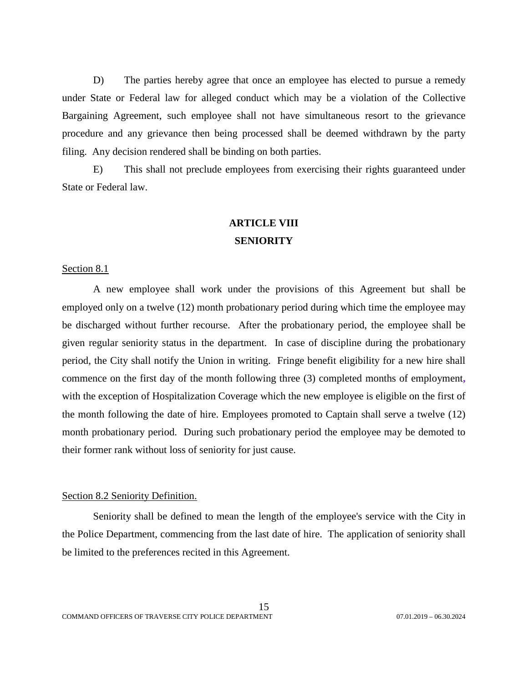D) The parties hereby agree that once an employee has elected to pursue a remedy under State or Federal law for alleged conduct which may be a violation of the Collective Bargaining Agreement, such employee shall not have simultaneous resort to the grievance procedure and any grievance then being processed shall be deemed withdrawn by the party filing. Any decision rendered shall be binding on both parties.

E) This shall not preclude employees from exercising their rights guaranteed under State or Federal law.

# **ARTICLE VIII SENIORITY**

#### <span id="page-14-2"></span><span id="page-14-1"></span><span id="page-14-0"></span>Section 8.1

A new employee shall work under the provisions of this Agreement but shall be employed only on a twelve (12) month probationary period during which time the employee may be discharged without further recourse. After the probationary period, the employee shall be given regular seniority status in the department. In case of discipline during the probationary period, the City shall notify the Union in writing. Fringe benefit eligibility for a new hire shall commence on the first day of the month following three (3) completed months of employment**,**  with the exception of Hospitalization Coverage which the new employee is eligible on the first of the month following the date of hire. Employees promoted to Captain shall serve a twelve (12) month probationary period. During such probationary period the employee may be demoted to their former rank without loss of seniority for just cause.

#### <span id="page-14-3"></span>Section 8.2 Seniority Definition.

Seniority shall be defined to mean the length of the employee's service with the City in the Police Department, commencing from the last date of hire. The application of seniority shall be limited to the preferences recited in this Agreement.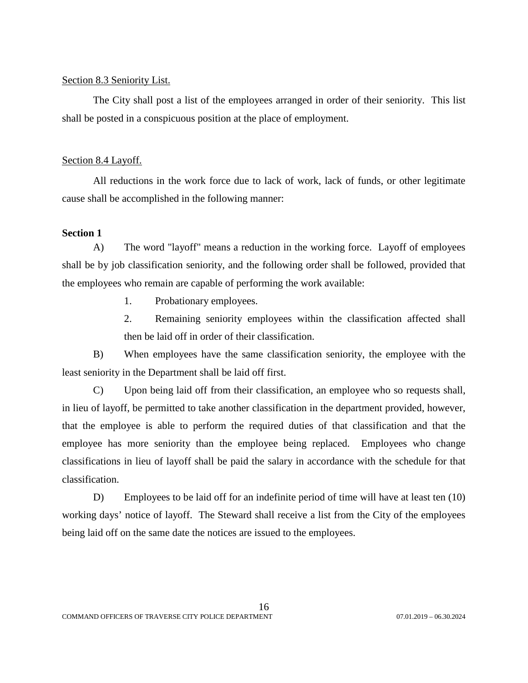## <span id="page-15-0"></span>Section 8.3 Seniority List.

The City shall post a list of the employees arranged in order of their seniority. This list shall be posted in a conspicuous position at the place of employment.

## <span id="page-15-1"></span>Section 8.4 Layoff.

All reductions in the work force due to lack of work, lack of funds, or other legitimate cause shall be accomplished in the following manner:

## <span id="page-15-2"></span>**Section 1**

A) The word "layoff" means a reduction in the working force. Layoff of employees shall be by job classification seniority, and the following order shall be followed, provided that the employees who remain are capable of performing the work available:

1. Probationary employees.

2. Remaining seniority employees within the classification affected shall then be laid off in order of their classification.

B) When employees have the same classification seniority, the employee with the least seniority in the Department shall be laid off first.

C) Upon being laid off from their classification, an employee who so requests shall, in lieu of layoff, be permitted to take another classification in the department provided, however, that the employee is able to perform the required duties of that classification and that the employee has more seniority than the employee being replaced. Employees who change classifications in lieu of layoff shall be paid the salary in accordance with the schedule for that classification.

D) Employees to be laid off for an indefinite period of time will have at least ten (10) working days' notice of layoff. The Steward shall receive a list from the City of the employees being laid off on the same date the notices are issued to the employees.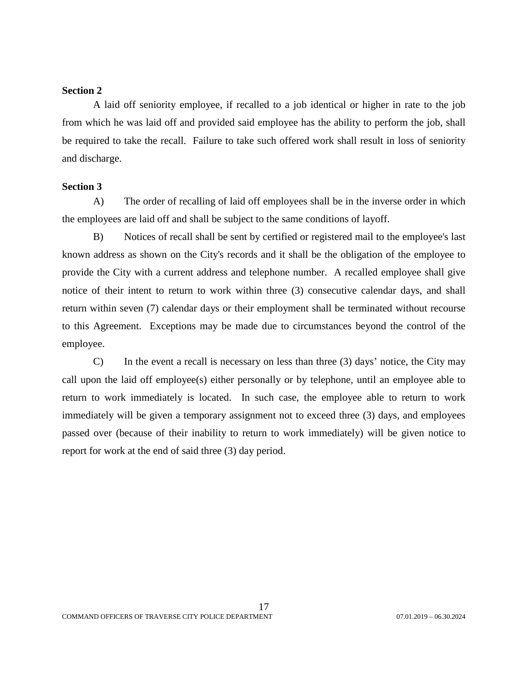## <span id="page-16-0"></span>**Section 2**

A laid off seniority employee, if recalled to a job identical or higher in rate to the job from which he was laid off and provided said employee has the ability to perform the job, shall be required to take the recall. Failure to take such offered work shall result in loss of seniority and discharge.

## <span id="page-16-1"></span>**Section 3**

A) The order of recalling of laid off employees shall be in the inverse order in which the employees are laid off and shall be subject to the same conditions of layoff.

B) Notices of recall shall be sent by certified or registered mail to the employee's last known address as shown on the City's records and it shall be the obligation of the employee to provide the City with a current address and telephone number. A recalled employee shall give notice of their intent to return to work within three (3) consecutive calendar days, and shall return within seven (7) calendar days or their employment shall be terminated without recourse to this Agreement. Exceptions may be made due to circumstances beyond the control of the employee.

C) In the event a recall is necessary on less than three  $(3)$  days' notice, the City may call upon the laid off employee(s) either personally or by telephone, until an employee able to return to work immediately is located. In such case, the employee able to return to work immediately will be given a temporary assignment not to exceed three (3) days, and employees passed over (because of their inability to return to work immediately) will be given notice to report for work at the end of said three (3) day period.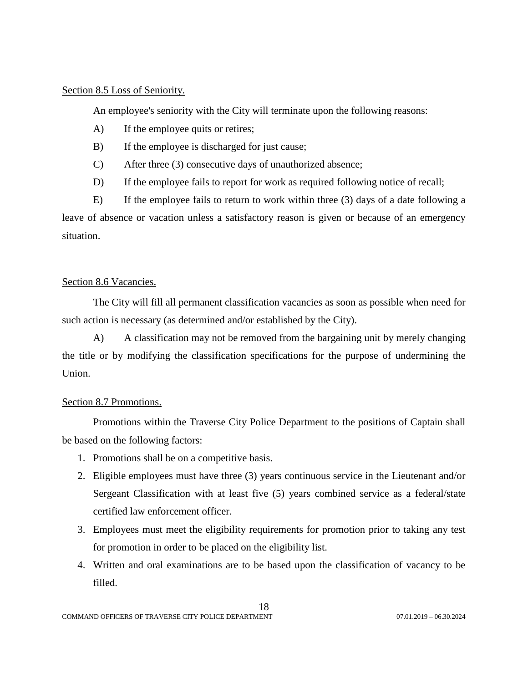## <span id="page-17-0"></span>Section 8.5 Loss of Seniority.

An employee's seniority with the City will terminate upon the following reasons:

- A) If the employee quits or retires;
- B) If the employee is discharged for just cause;
- C) After three (3) consecutive days of unauthorized absence;
- D) If the employee fails to report for work as required following notice of recall;

E) If the employee fails to return to work within three (3) days of a date following a leave of absence or vacation unless a satisfactory reason is given or because of an emergency situation.

## <span id="page-17-1"></span>Section 8.6 Vacancies.

The City will fill all permanent classification vacancies as soon as possible when need for such action is necessary (as determined and/or established by the City).

A) A classification may not be removed from the bargaining unit by merely changing the title or by modifying the classification specifications for the purpose of undermining the Union.

# <span id="page-17-2"></span>Section 8.7 Promotions.

Promotions within the Traverse City Police Department to the positions of Captain shall be based on the following factors:

- 1. Promotions shall be on a competitive basis.
- 2. Eligible employees must have three (3) years continuous service in the Lieutenant and/or Sergeant Classification with at least five (5) years combined service as a federal/state certified law enforcement officer.
- 3. Employees must meet the eligibility requirements for promotion prior to taking any test for promotion in order to be placed on the eligibility list.
- 4. Written and oral examinations are to be based upon the classification of vacancy to be filled.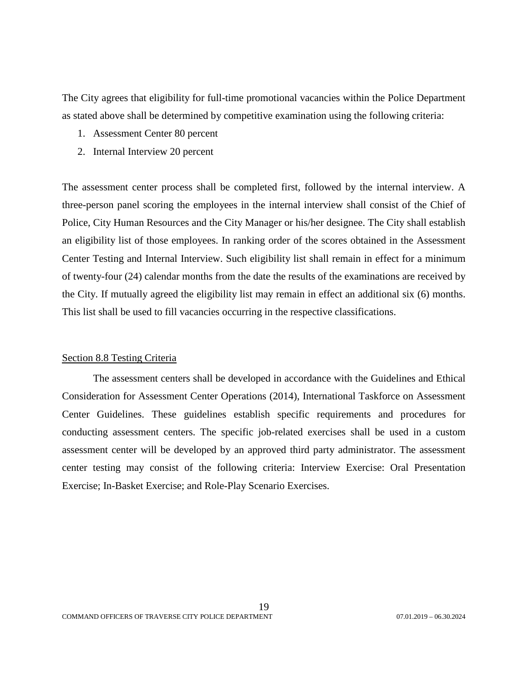The City agrees that eligibility for full-time promotional vacancies within the Police Department as stated above shall be determined by competitive examination using the following criteria:

- 1. Assessment Center 80 percent
- 2. Internal Interview 20 percent

The assessment center process shall be completed first, followed by the internal interview. A three-person panel scoring the employees in the internal interview shall consist of the Chief of Police, City Human Resources and the City Manager or his/her designee. The City shall establish an eligibility list of those employees. In ranking order of the scores obtained in the Assessment Center Testing and Internal Interview. Such eligibility list shall remain in effect for a minimum of twenty-four (24) calendar months from the date the results of the examinations are received by the City. If mutually agreed the eligibility list may remain in effect an additional six (6) months. This list shall be used to fill vacancies occurring in the respective classifications.

## <span id="page-18-0"></span>Section 8.8 Testing Criteria

The assessment centers shall be developed in accordance with the Guidelines and Ethical Consideration for Assessment Center Operations (2014), International Taskforce on Assessment Center Guidelines. These guidelines establish specific requirements and procedures for conducting assessment centers. The specific job-related exercises shall be used in a custom assessment center will be developed by an approved third party administrator. The assessment center testing may consist of the following criteria: Interview Exercise: Oral Presentation Exercise; In-Basket Exercise; and Role-Play Scenario Exercises.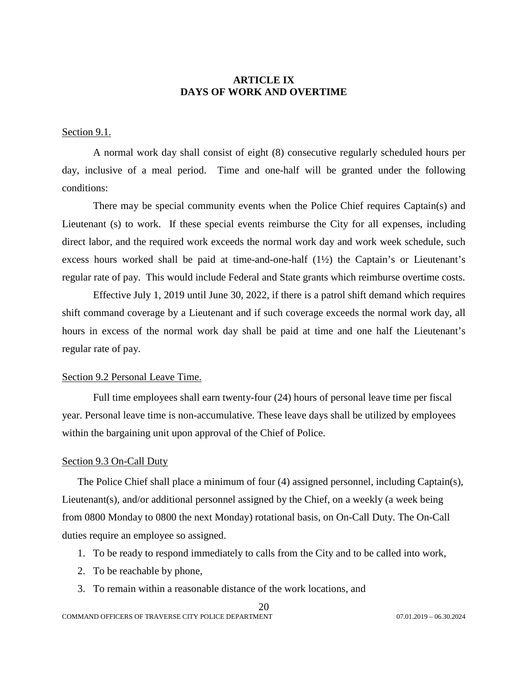## **ARTICLE IX DAYS OF WORK AND OVERTIME**

### <span id="page-19-2"></span><span id="page-19-1"></span><span id="page-19-0"></span>Section 9.1.

A normal work day shall consist of eight (8) consecutive regularly scheduled hours per day, inclusive of a meal period. Time and one-half will be granted under the following conditions:

There may be special community events when the Police Chief requires Captain(s) and Lieutenant (s) to work. If these special events reimburse the City for all expenses, including direct labor, and the required work exceeds the normal work day and work week schedule, such excess hours worked shall be paid at time-and-one-half  $(1\frac{1}{2})$  the Captain's or Lieutenant's regular rate of pay. This would include Federal and State grants which reimburse overtime costs.

Effective July 1, 2019 until June 30, 2022, if there is a patrol shift demand which requires shift command coverage by a Lieutenant and if such coverage exceeds the normal work day, all hours in excess of the normal work day shall be paid at time and one half the Lieutenant's regular rate of pay.

### <span id="page-19-3"></span>Section 9.2 Personal Leave Time.

Full time employees shall earn twenty-four (24) hours of personal leave time per fiscal year. Personal leave time is non-accumulative. These leave days shall be utilized by employees within the bargaining unit upon approval of the Chief of Police.

#### <span id="page-19-4"></span>Section 9.3 On-Call Duty

The Police Chief shall place a minimum of four (4) assigned personnel, including Captain(s), Lieutenant(s), and/or additional personnel assigned by the Chief, on a weekly (a week being from 0800 Monday to 0800 the next Monday) rotational basis, on On-Call Duty. The On-Call duties require an employee so assigned.

1. To be ready to respond immediately to calls from the City and to be called into work,

20

- 2. To be reachable by phone,
- 3. To remain within a reasonable distance of the work locations, and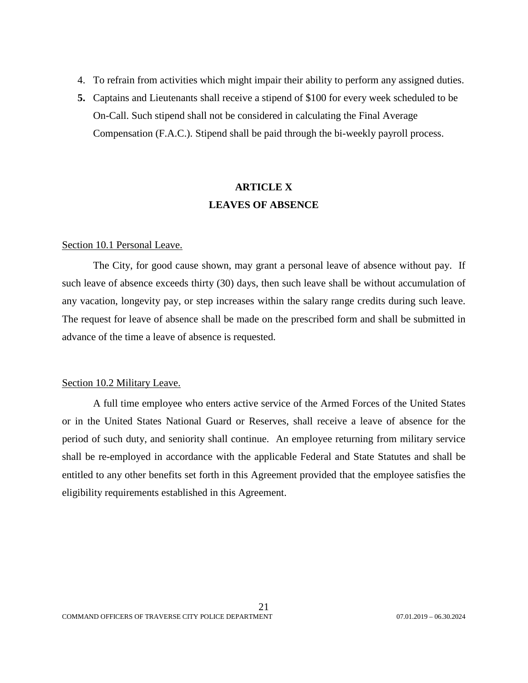- 4. To refrain from activities which might impair their ability to perform any assigned duties.
- **5.** Captains and Lieutenants shall receive a stipend of \$100 for every week scheduled to be On-Call. Such stipend shall not be considered in calculating the Final Average Compensation (F.A.C.). Stipend shall be paid through the bi-weekly payroll process.

# **ARTICLE X LEAVES OF ABSENCE**

#### <span id="page-20-2"></span><span id="page-20-1"></span><span id="page-20-0"></span>Section 10.1 Personal Leave.

The City, for good cause shown, may grant a personal leave of absence without pay. If such leave of absence exceeds thirty (30) days, then such leave shall be without accumulation of any vacation, longevity pay, or step increases within the salary range credits during such leave. The request for leave of absence shall be made on the prescribed form and shall be submitted in advance of the time a leave of absence is requested.

### <span id="page-20-3"></span>Section 10.2 Military Leave.

A full time employee who enters active service of the Armed Forces of the United States or in the United States National Guard or Reserves, shall receive a leave of absence for the period of such duty, and seniority shall continue. An employee returning from military service shall be re-employed in accordance with the applicable Federal and State Statutes and shall be entitled to any other benefits set forth in this Agreement provided that the employee satisfies the eligibility requirements established in this Agreement.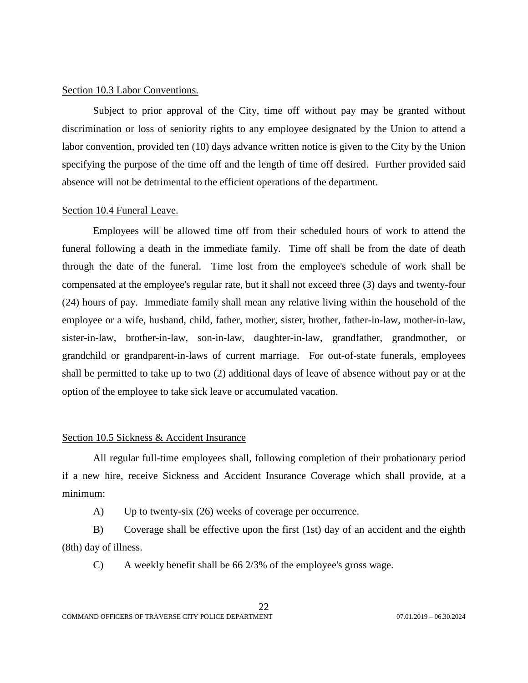## <span id="page-21-0"></span>Section 10.3 Labor Conventions.

Subject to prior approval of the City, time off without pay may be granted without discrimination or loss of seniority rights to any employee designated by the Union to attend a labor convention, provided ten (10) days advance written notice is given to the City by the Union specifying the purpose of the time off and the length of time off desired. Further provided said absence will not be detrimental to the efficient operations of the department.

## <span id="page-21-1"></span>Section 10.4 Funeral Leave.

Employees will be allowed time off from their scheduled hours of work to attend the funeral following a death in the immediate family. Time off shall be from the date of death through the date of the funeral. Time lost from the employee's schedule of work shall be compensated at the employee's regular rate, but it shall not exceed three (3) days and twenty-four (24) hours of pay. Immediate family shall mean any relative living within the household of the employee or a wife, husband, child, father, mother, sister, brother, father-in-law, mother-in-law, sister-in-law, brother-in-law, son-in-law, daughter-in-law, grandfather, grandmother, or grandchild or grandparent-in-laws of current marriage. For out-of-state funerals, employees shall be permitted to take up to two (2) additional days of leave of absence without pay or at the option of the employee to take sick leave or accumulated vacation.

## <span id="page-21-2"></span>Section 10.5 Sickness & Accident Insurance

All regular full-time employees shall, following completion of their probationary period if a new hire, receive Sickness and Accident Insurance Coverage which shall provide, at a minimum:

A) Up to twenty-six (26) weeks of coverage per occurrence.

B) Coverage shall be effective upon the first (1st) day of an accident and the eighth (8th) day of illness.

C) A weekly benefit shall be 66 2/3% of the employee's gross wage.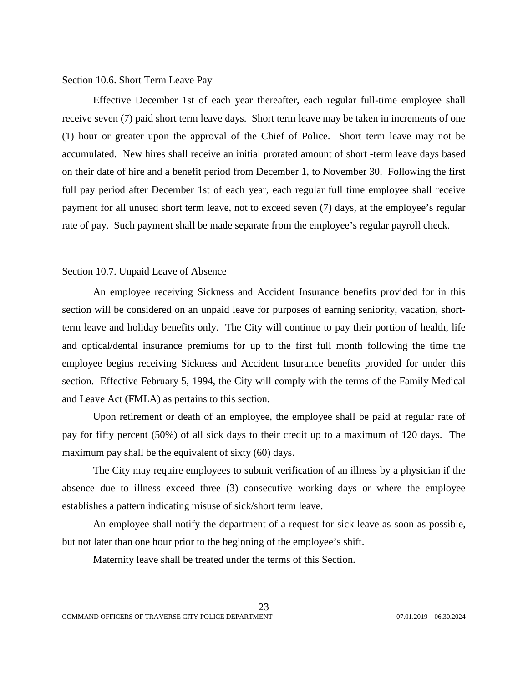## <span id="page-22-0"></span>Section 10.6. Short Term Leave Pay

Effective December 1st of each year thereafter, each regular full-time employee shall receive seven (7) paid short term leave days. Short term leave may be taken in increments of one (1) hour or greater upon the approval of the Chief of Police. Short term leave may not be accumulated. New hires shall receive an initial prorated amount of short -term leave days based on their date of hire and a benefit period from December 1, to November 30. Following the first full pay period after December 1st of each year, each regular full time employee shall receive payment for all unused short term leave, not to exceed seven (7) days, at the employee's regular rate of pay. Such payment shall be made separate from the employee's regular payroll check.

### <span id="page-22-1"></span>Section 10.7. Unpaid Leave of Absence

An employee receiving Sickness and Accident Insurance benefits provided for in this section will be considered on an unpaid leave for purposes of earning seniority, vacation, shortterm leave and holiday benefits only. The City will continue to pay their portion of health, life and optical/dental insurance premiums for up to the first full month following the time the employee begins receiving Sickness and Accident Insurance benefits provided for under this section. Effective February 5, 1994, the City will comply with the terms of the Family Medical and Leave Act (FMLA) as pertains to this section.

Upon retirement or death of an employee, the employee shall be paid at regular rate of pay for fifty percent (50%) of all sick days to their credit up to a maximum of 120 days. The maximum pay shall be the equivalent of sixty (60) days.

The City may require employees to submit verification of an illness by a physician if the absence due to illness exceed three (3) consecutive working days or where the employee establishes a pattern indicating misuse of sick/short term leave.

An employee shall notify the department of a request for sick leave as soon as possible, but not later than one hour prior to the beginning of the employee's shift.

Maternity leave shall be treated under the terms of this Section.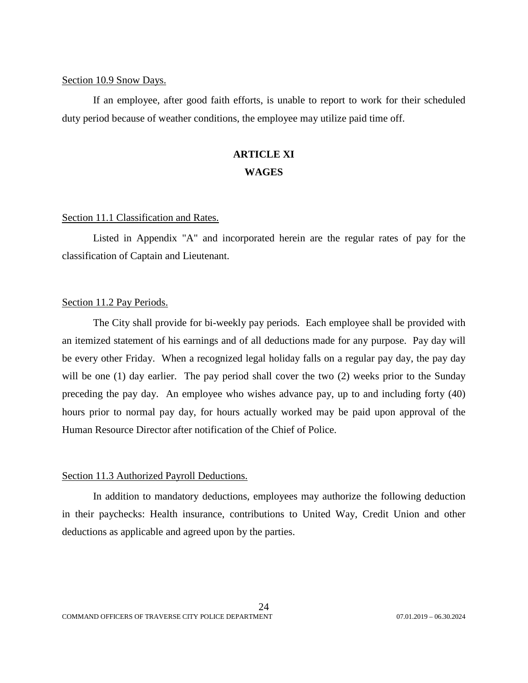## <span id="page-23-0"></span>Section 10.9 Snow Days.

<span id="page-23-1"></span>If an employee, after good faith efforts, is unable to report to work for their scheduled duty period because of weather conditions, the employee may utilize paid time off.

# **ARTICLE XI WAGES**

## <span id="page-23-3"></span><span id="page-23-2"></span>Section 11.1 Classification and Rates.

Listed in Appendix "A" and incorporated herein are the regular rates of pay for the classification of Captain and Lieutenant.

### <span id="page-23-4"></span>Section 11.2 Pay Periods.

The City shall provide for bi-weekly pay periods. Each employee shall be provided with an itemized statement of his earnings and of all deductions made for any purpose. Pay day will be every other Friday. When a recognized legal holiday falls on a regular pay day, the pay day will be one (1) day earlier. The pay period shall cover the two (2) weeks prior to the Sunday preceding the pay day. An employee who wishes advance pay, up to and including forty (40) hours prior to normal pay day, for hours actually worked may be paid upon approval of the Human Resource Director after notification of the Chief of Police.

#### <span id="page-23-5"></span>Section 11.3 Authorized Payroll Deductions.

In addition to mandatory deductions, employees may authorize the following deduction in their paychecks: Health insurance, contributions to United Way, Credit Union and other deductions as applicable and agreed upon by the parties.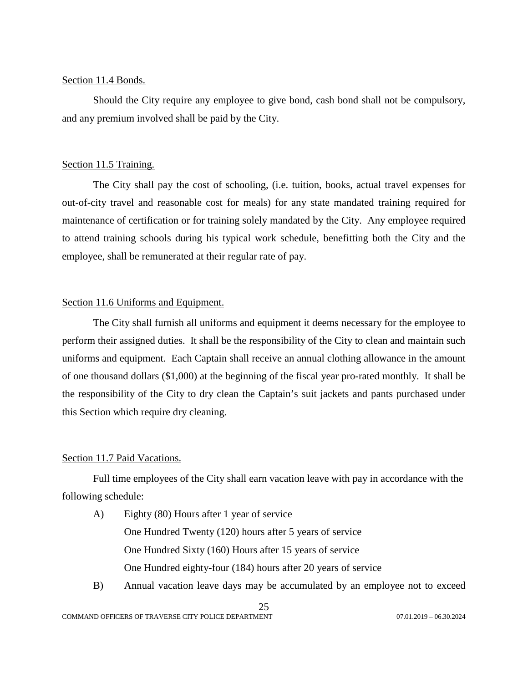## <span id="page-24-0"></span>Section 11.4 Bonds.

Should the City require any employee to give bond, cash bond shall not be compulsory, and any premium involved shall be paid by the City.

## <span id="page-24-1"></span>Section 11.5 Training.

The City shall pay the cost of schooling, (i.e. tuition, books, actual travel expenses for out-of-city travel and reasonable cost for meals) for any state mandated training required for maintenance of certification or for training solely mandated by the City. Any employee required to attend training schools during his typical work schedule, benefitting both the City and the employee, shall be remunerated at their regular rate of pay.

## <span id="page-24-2"></span>Section 11.6 Uniforms and Equipment.

The City shall furnish all uniforms and equipment it deems necessary for the employee to perform their assigned duties. It shall be the responsibility of the City to clean and maintain such uniforms and equipment. Each Captain shall receive an annual clothing allowance in the amount of one thousand dollars (\$1,000) at the beginning of the fiscal year pro-rated monthly. It shall be the responsibility of the City to dry clean the Captain's suit jackets and pants purchased under this Section which require dry cleaning.

## <span id="page-24-3"></span>Section 11.7 Paid Vacations.

Full time employees of the City shall earn vacation leave with pay in accordance with the following schedule:

- A) Eighty (80) Hours after 1 year of service One Hundred Twenty (120) hours after 5 years of service One Hundred Sixty (160) Hours after 15 years of service One Hundred eighty-four (184) hours after 20 years of service
- B) Annual vacation leave days may be accumulated by an employee not to exceed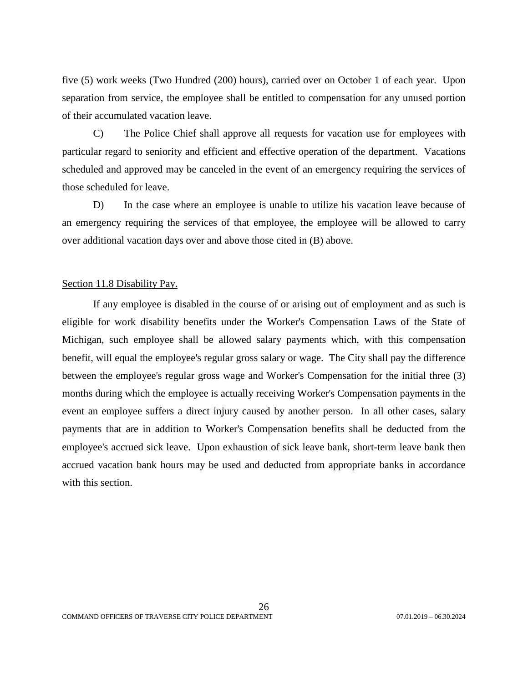five (5) work weeks (Two Hundred (200) hours), carried over on October 1 of each year. Upon separation from service, the employee shall be entitled to compensation for any unused portion of their accumulated vacation leave.

C) The Police Chief shall approve all requests for vacation use for employees with particular regard to seniority and efficient and effective operation of the department. Vacations scheduled and approved may be canceled in the event of an emergency requiring the services of those scheduled for leave.

D) In the case where an employee is unable to utilize his vacation leave because of an emergency requiring the services of that employee, the employee will be allowed to carry over additional vacation days over and above those cited in (B) above.

## <span id="page-25-0"></span>Section 11.8 Disability Pay.

If any employee is disabled in the course of or arising out of employment and as such is eligible for work disability benefits under the Worker's Compensation Laws of the State of Michigan, such employee shall be allowed salary payments which, with this compensation benefit, will equal the employee's regular gross salary or wage. The City shall pay the difference between the employee's regular gross wage and Worker's Compensation for the initial three (3) months during which the employee is actually receiving Worker's Compensation payments in the event an employee suffers a direct injury caused by another person. In all other cases, salary payments that are in addition to Worker's Compensation benefits shall be deducted from the employee's accrued sick leave. Upon exhaustion of sick leave bank, short-term leave bank then accrued vacation bank hours may be used and deducted from appropriate banks in accordance with this section.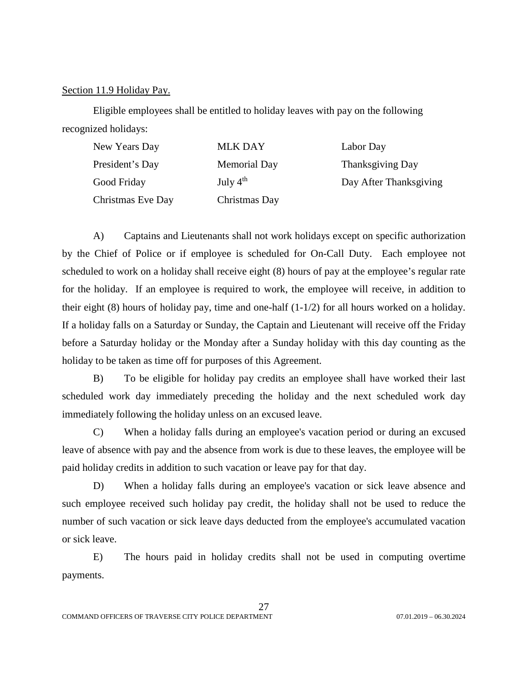## <span id="page-26-0"></span>Section 11.9 Holiday Pay.

Eligible employees shall be entitled to holiday leaves with pay on the following recognized holidays:

| New Years Day     | MLK DAY             | Labor Day               |
|-------------------|---------------------|-------------------------|
| President's Day   | <b>Memorial Day</b> | <b>Thanksgiving Day</b> |
| Good Friday       | July $4th$          | Day After Thanksgiving  |
| Christmas Eve Day | Christmas Day       |                         |

A) Captains and Lieutenants shall not work holidays except on specific authorization by the Chief of Police or if employee is scheduled for On-Call Duty. Each employee not scheduled to work on a holiday shall receive eight (8) hours of pay at the employee's regular rate for the holiday. If an employee is required to work, the employee will receive, in addition to their eight (8) hours of holiday pay, time and one-half  $(1-1/2)$  for all hours worked on a holiday. If a holiday falls on a Saturday or Sunday, the Captain and Lieutenant will receive off the Friday before a Saturday holiday or the Monday after a Sunday holiday with this day counting as the holiday to be taken as time off for purposes of this Agreement.

B) To be eligible for holiday pay credits an employee shall have worked their last scheduled work day immediately preceding the holiday and the next scheduled work day immediately following the holiday unless on an excused leave.

C) When a holiday falls during an employee's vacation period or during an excused leave of absence with pay and the absence from work is due to these leaves, the employee will be paid holiday credits in addition to such vacation or leave pay for that day.

D) When a holiday falls during an employee's vacation or sick leave absence and such employee received such holiday pay credit, the holiday shall not be used to reduce the number of such vacation or sick leave days deducted from the employee's accumulated vacation or sick leave.

E) The hours paid in holiday credits shall not be used in computing overtime payments.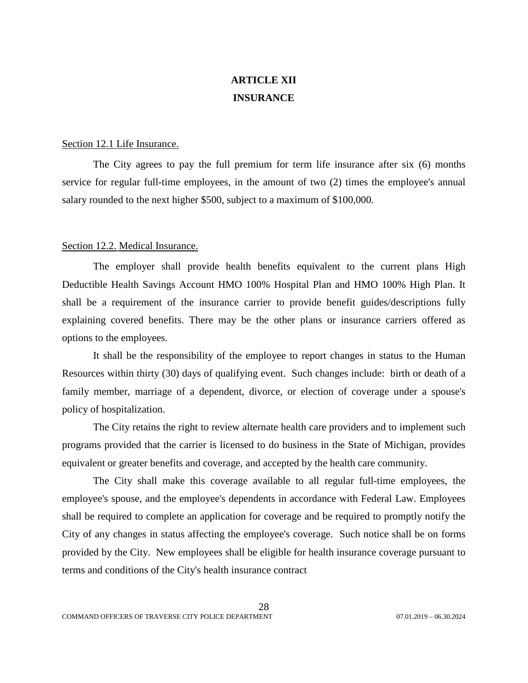# **ARTICLE XII INSURANCE**

## <span id="page-27-2"></span><span id="page-27-1"></span><span id="page-27-0"></span>Section 12.1 Life Insurance.

The City agrees to pay the full premium for term life insurance after six (6) months service for regular full-time employees, in the amount of two (2) times the employee's annual salary rounded to the next higher \$500, subject to a maximum of \$100,000.

### <span id="page-27-3"></span>Section 12.2. Medical Insurance.

The employer shall provide health benefits equivalent to the current plans High Deductible Health Savings Account HMO 100% Hospital Plan and HMO 100% High Plan. It shall be a requirement of the insurance carrier to provide benefit guides/descriptions fully explaining covered benefits. There may be the other plans or insurance carriers offered as options to the employees.

It shall be the responsibility of the employee to report changes in status to the Human Resources within thirty (30) days of qualifying event. Such changes include: birth or death of a family member, marriage of a dependent, divorce, or election of coverage under a spouse's policy of hospitalization.

The City retains the right to review alternate health care providers and to implement such programs provided that the carrier is licensed to do business in the State of Michigan, provides equivalent or greater benefits and coverage, and accepted by the health care community.

The City shall make this coverage available to all regular full-time employees, the employee's spouse, and the employee's dependents in accordance with Federal Law. Employees shall be required to complete an application for coverage and be required to promptly notify the City of any changes in status affecting the employee's coverage. Such notice shall be on forms provided by the City. New employees shall be eligible for health insurance coverage pursuant to terms and conditions of the City's health insurance contract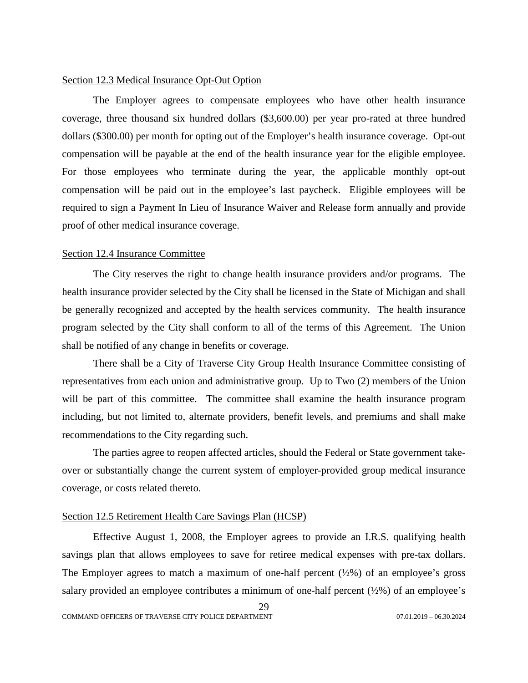## <span id="page-28-0"></span>Section 12.3 Medical Insurance Opt-Out Option

The Employer agrees to compensate employees who have other health insurance coverage, three thousand six hundred dollars (\$3,600.00) per year pro-rated at three hundred dollars (\$300.00) per month for opting out of the Employer's health insurance coverage. Opt-out compensation will be payable at the end of the health insurance year for the eligible employee. For those employees who terminate during the year, the applicable monthly opt-out compensation will be paid out in the employee's last paycheck. Eligible employees will be required to sign a Payment In Lieu of Insurance Waiver and Release form annually and provide proof of other medical insurance coverage.

## <span id="page-28-1"></span>Section 12.4 Insurance Committee

The City reserves the right to change health insurance providers and/or programs. The health insurance provider selected by the City shall be licensed in the State of Michigan and shall be generally recognized and accepted by the health services community. The health insurance program selected by the City shall conform to all of the terms of this Agreement. The Union shall be notified of any change in benefits or coverage.

There shall be a City of Traverse City Group Health Insurance Committee consisting of representatives from each union and administrative group. Up to Two (2) members of the Union will be part of this committee. The committee shall examine the health insurance program including, but not limited to, alternate providers, benefit levels, and premiums and shall make recommendations to the City regarding such.

The parties agree to reopen affected articles, should the Federal or State government takeover or substantially change the current system of employer-provided group medical insurance coverage, or costs related thereto.

#### <span id="page-28-2"></span>Section 12.5 Retirement Health Care Savings Plan (HCSP)

Effective August 1, 2008, the Employer agrees to provide an I.R.S. qualifying health savings plan that allows employees to save for retiree medical expenses with pre-tax dollars. The Employer agrees to match a maximum of one-half percent  $(\frac{1}{2}\%)$  of an employee's gross salary provided an employee contributes a minimum of one-half percent  $(\frac{1}{2}\%)$  of an employee's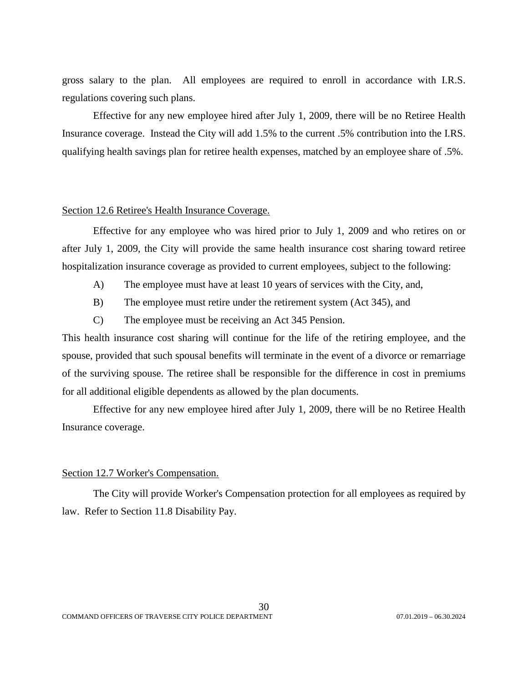gross salary to the plan. All employees are required to enroll in accordance with I.R.S. regulations covering such plans.

Effective for any new employee hired after July 1, 2009, there will be no Retiree Health Insurance coverage. Instead the City will add 1.5% to the current .5% contribution into the I.RS. qualifying health savings plan for retiree health expenses, matched by an employee share of .5%.

## <span id="page-29-0"></span>Section 12.6 Retiree's Health Insurance Coverage.

Effective for any employee who was hired prior to July 1, 2009 and who retires on or after July 1, 2009, the City will provide the same health insurance cost sharing toward retiree hospitalization insurance coverage as provided to current employees, subject to the following:

- A) The employee must have at least 10 years of services with the City, and,
- B) The employee must retire under the retirement system (Act 345), and
- C) The employee must be receiving an Act 345 Pension.

This health insurance cost sharing will continue for the life of the retiring employee, and the spouse, provided that such spousal benefits will terminate in the event of a divorce or remarriage of the surviving spouse. The retiree shall be responsible for the difference in cost in premiums for all additional eligible dependents as allowed by the plan documents.

Effective for any new employee hired after July 1, 2009, there will be no Retiree Health Insurance coverage.

#### <span id="page-29-1"></span>Section 12.7 Worker's Compensation.

The City will provide Worker's Compensation protection for all employees as required by law. Refer to Section 11.8 Disability Pay.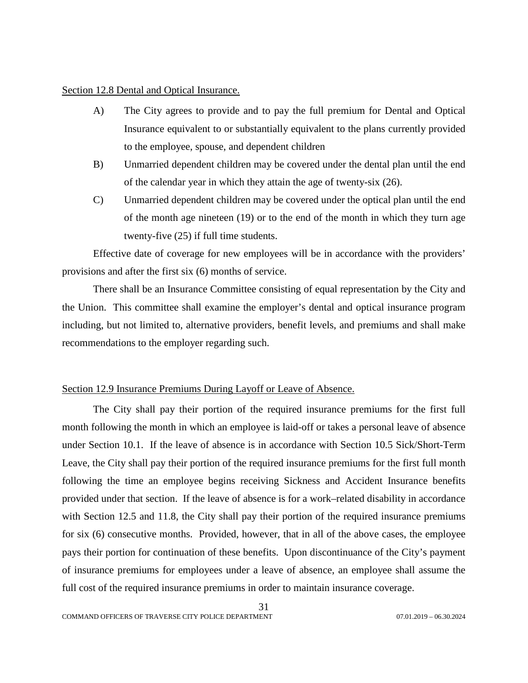## <span id="page-30-0"></span>Section 12.8 Dental and Optical Insurance.

- A) The City agrees to provide and to pay the full premium for Dental and Optical Insurance equivalent to or substantially equivalent to the plans currently provided to the employee, spouse, and dependent children
- B) Unmarried dependent children may be covered under the dental plan until the end of the calendar year in which they attain the age of twenty-six (26).
- C) Unmarried dependent children may be covered under the optical plan until the end of the month age nineteen (19) or to the end of the month in which they turn age twenty-five (25) if full time students.

Effective date of coverage for new employees will be in accordance with the providers' provisions and after the first six (6) months of service.

There shall be an Insurance Committee consisting of equal representation by the City and the Union. This committee shall examine the employer's dental and optical insurance program including, but not limited to, alternative providers, benefit levels, and premiums and shall make recommendations to the employer regarding such.

## <span id="page-30-1"></span>Section 12.9 Insurance Premiums During Layoff or Leave of Absence.

The City shall pay their portion of the required insurance premiums for the first full month following the month in which an employee is laid-off or takes a personal leave of absence under Section 10.1. If the leave of absence is in accordance with Section 10.5 Sick/Short-Term Leave, the City shall pay their portion of the required insurance premiums for the first full month following the time an employee begins receiving Sickness and Accident Insurance benefits provided under that section. If the leave of absence is for a work–related disability in accordance with Section 12.5 and 11.8, the City shall pay their portion of the required insurance premiums for six (6) consecutive months. Provided, however, that in all of the above cases, the employee pays their portion for continuation of these benefits. Upon discontinuance of the City's payment of insurance premiums for employees under a leave of absence, an employee shall assume the full cost of the required insurance premiums in order to maintain insurance coverage.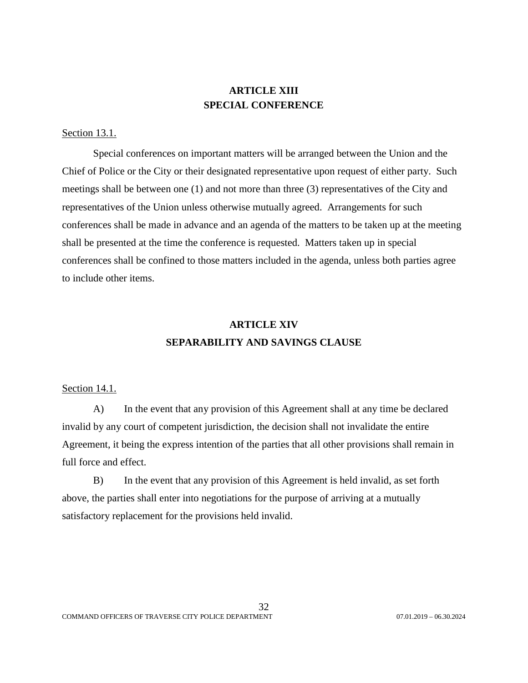# **ARTICLE XIII SPECIAL CONFERENCE**

## <span id="page-31-2"></span><span id="page-31-1"></span><span id="page-31-0"></span>Section 13.1.

Special conferences on important matters will be arranged between the Union and the Chief of Police or the City or their designated representative upon request of either party. Such meetings shall be between one (1) and not more than three (3) representatives of the City and representatives of the Union unless otherwise mutually agreed. Arrangements for such conferences shall be made in advance and an agenda of the matters to be taken up at the meeting shall be presented at the time the conference is requested. Matters taken up in special conferences shall be confined to those matters included in the agenda, unless both parties agree to include other items.

# **ARTICLE XIV SEPARABILITY AND SAVINGS CLAUSE**

### <span id="page-31-5"></span><span id="page-31-4"></span><span id="page-31-3"></span>Section 14.1.

A) In the event that any provision of this Agreement shall at any time be declared invalid by any court of competent jurisdiction, the decision shall not invalidate the entire Agreement, it being the express intention of the parties that all other provisions shall remain in full force and effect.

B) In the event that any provision of this Agreement is held invalid, as set forth above, the parties shall enter into negotiations for the purpose of arriving at a mutually satisfactory replacement for the provisions held invalid.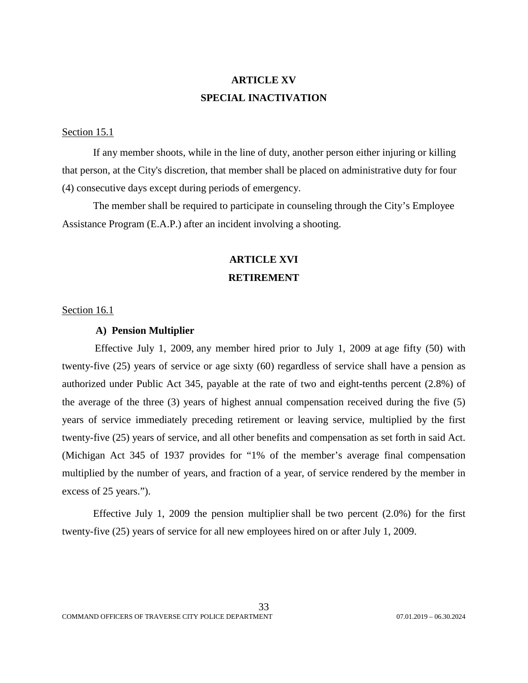# **ARTICLE XV SPECIAL INACTIVATION**

#### <span id="page-32-2"></span><span id="page-32-1"></span><span id="page-32-0"></span>Section 15.1

If any member shoots, while in the line of duty, another person either injuring or killing that person, at the City's discretion, that member shall be placed on administrative duty for four (4) consecutive days except during periods of emergency.

<span id="page-32-3"></span>The member shall be required to participate in counseling through the City's Employee Assistance Program (E.A.P.) after an incident involving a shooting.

# **ARTICLE XVI RETIREMENT**

<span id="page-32-5"></span><span id="page-32-4"></span>Section 16.1

## **A) Pension Multiplier**

 Effective July 1, 2009, any member hired prior to July 1, 2009 at age fifty (50) with twenty-five (25) years of service or age sixty (60) regardless of service shall have a pension as authorized under Public Act 345, payable at the rate of two and eight-tenths percent (2.8%) of the average of the three (3) years of highest annual compensation received during the five (5) years of service immediately preceding retirement or leaving service, multiplied by the first twenty-five (25) years of service, and all other benefits and compensation as set forth in said Act. (Michigan Act 345 of 1937 provides for "1% of the member's average final compensation multiplied by the number of years, and fraction of a year, of service rendered by the member in excess of 25 years.").

Effective July 1, 2009 the pension multiplier shall be two percent (2.0%) for the first twenty-five (25) years of service for all new employees hired on or after July 1, 2009.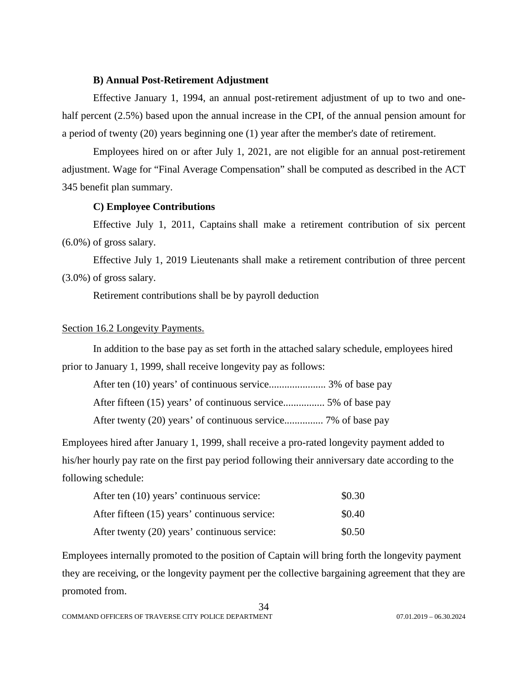## **B) Annual Post-Retirement Adjustment**

Effective January 1, 1994, an annual post-retirement adjustment of up to two and onehalf percent (2.5%) based upon the annual increase in the CPI, of the annual pension amount for a period of twenty (20) years beginning one (1) year after the member's date of retirement.

Employees hired on or after July 1, 2021, are not eligible for an annual post-retirement adjustment. Wage for "Final Average Compensation" shall be computed as described in the ACT 345 benefit plan summary.

## **C) Employee Contributions**

Effective July 1, 2011, Captains shall make a retirement contribution of six percent (6.0%) of gross salary.

Effective July 1, 2019 Lieutenants shall make a retirement contribution of three percent (3.0%) of gross salary.

Retirement contributions shall be by payroll deduction

## <span id="page-33-0"></span>Section 16.2 Longevity Payments.

In addition to the base pay as set forth in the attached salary schedule, employees hired prior to January 1, 1999, shall receive longevity pay as follows:

After ten (10) years' of continuous service...................... 3% of base pay After fifteen (15) years' of continuous service................ 5% of base pay After twenty (20) years' of continuous service............... 7% of base pay

Employees hired after January 1, 1999, shall receive a pro-rated longevity payment added to his/her hourly pay rate on the first pay period following their anniversary date according to the following schedule:

| After ten (10) years' continuous service:     | \$0.30 |
|-----------------------------------------------|--------|
| After fifteen (15) years' continuous service: | \$0.40 |
| After twenty (20) years' continuous service:  | \$0.50 |

Employees internally promoted to the position of Captain will bring forth the longevity payment they are receiving, or the longevity payment per the collective bargaining agreement that they are promoted from.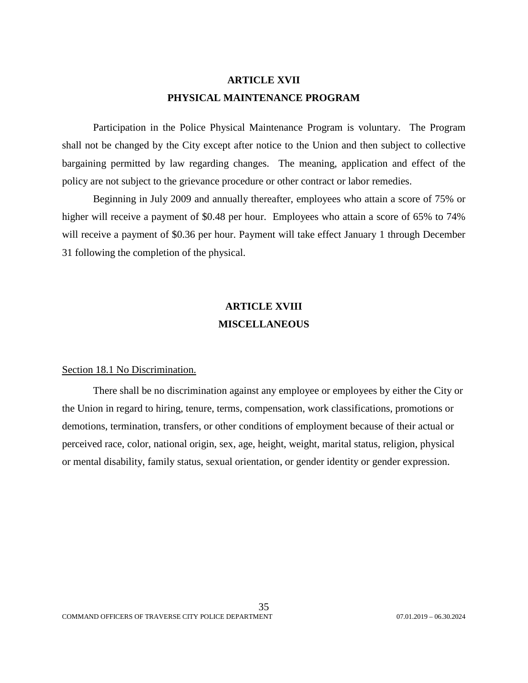# **ARTICLE XVII PHYSICAL MAINTENANCE PROGRAM**

<span id="page-34-1"></span><span id="page-34-0"></span>Participation in the Police Physical Maintenance Program is voluntary. The Program shall not be changed by the City except after notice to the Union and then subject to collective bargaining permitted by law regarding changes. The meaning, application and effect of the policy are not subject to the grievance procedure or other contract or labor remedies.

Beginning in July 2009 and annually thereafter, employees who attain a score of 75% or higher will receive a payment of \$0.48 per hour. Employees who attain a score of 65% to 74% will receive a payment of \$0.36 per hour. Payment will take effect January 1 through December 31 following the completion of the physical.

# **ARTICLE XVIII MISCELLANEOUS**

## <span id="page-34-4"></span><span id="page-34-3"></span><span id="page-34-2"></span>Section 18.1 No Discrimination.

There shall be no discrimination against any employee or employees by either the City or the Union in regard to hiring, tenure, terms, compensation, work classifications, promotions or demotions, termination, transfers, or other conditions of employment because of their actual or perceived race, color, national origin, sex, age, height, weight, marital status, religion, physical or mental disability, family status, sexual orientation, or gender identity or gender expression.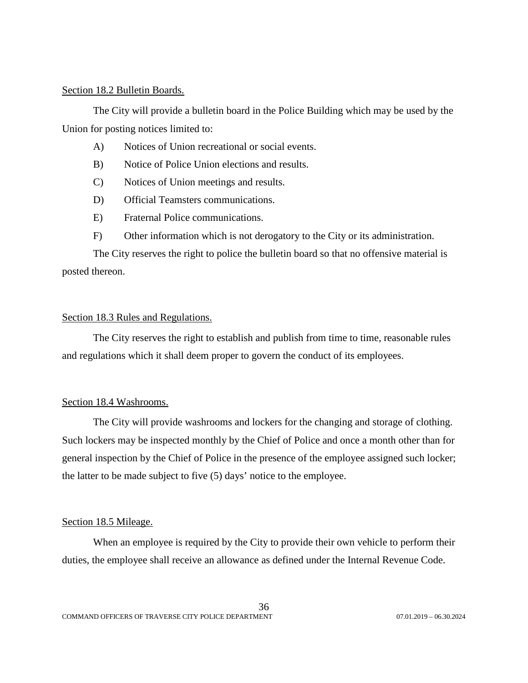## <span id="page-35-0"></span>Section 18.2 Bulletin Boards.

The City will provide a bulletin board in the Police Building which may be used by the Union for posting notices limited to:

- A) Notices of Union recreational or social events.
- B) Notice of Police Union elections and results.
- C) Notices of Union meetings and results.
- D) Official Teamsters communications.
- E) Fraternal Police communications.
- F) Other information which is not derogatory to the City or its administration.

The City reserves the right to police the bulletin board so that no offensive material is posted thereon.

## <span id="page-35-1"></span>Section 18.3 Rules and Regulations.

The City reserves the right to establish and publish from time to time, reasonable rules and regulations which it shall deem proper to govern the conduct of its employees.

## <span id="page-35-2"></span>Section 18.4 Washrooms.

The City will provide washrooms and lockers for the changing and storage of clothing. Such lockers may be inspected monthly by the Chief of Police and once a month other than for general inspection by the Chief of Police in the presence of the employee assigned such locker; the latter to be made subject to five (5) days' notice to the employee.

## <span id="page-35-3"></span>Section 18.5 Mileage.

When an employee is required by the City to provide their own vehicle to perform their duties, the employee shall receive an allowance as defined under the Internal Revenue Code.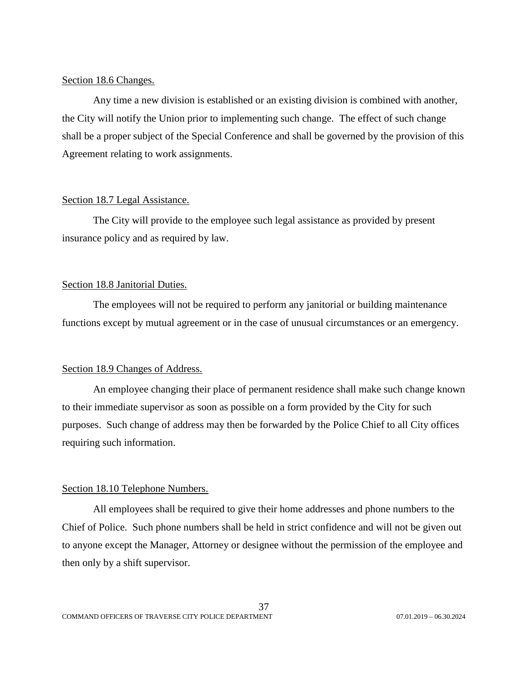## <span id="page-36-0"></span>Section 18.6 Changes.

Any time a new division is established or an existing division is combined with another, the City will notify the Union prior to implementing such change. The effect of such change shall be a proper subject of the Special Conference and shall be governed by the provision of this Agreement relating to work assignments.

### <span id="page-36-1"></span>Section 18.7 Legal Assistance.

The City will provide to the employee such legal assistance as provided by present insurance policy and as required by law.

## <span id="page-36-2"></span>Section 18.8 Janitorial Duties.

The employees will not be required to perform any janitorial or building maintenance functions except by mutual agreement or in the case of unusual circumstances or an emergency.

## <span id="page-36-3"></span>Section 18.9 Changes of Address.

An employee changing their place of permanent residence shall make such change known to their immediate supervisor as soon as possible on a form provided by the City for such purposes. Such change of address may then be forwarded by the Police Chief to all City offices requiring such information.

## <span id="page-36-4"></span>Section 18.10 Telephone Numbers.

All employees shall be required to give their home addresses and phone numbers to the Chief of Police. Such phone numbers shall be held in strict confidence and will not be given out to anyone except the Manager, Attorney or designee without the permission of the employee and then only by a shift supervisor.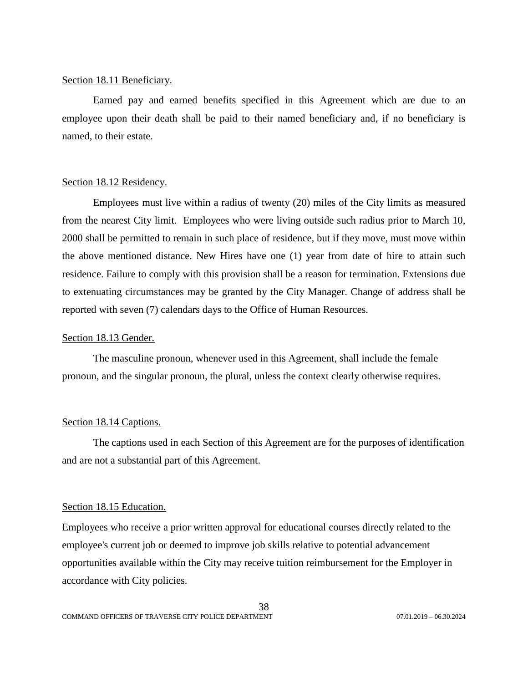## <span id="page-37-0"></span>Section 18.11 Beneficiary.

Earned pay and earned benefits specified in this Agreement which are due to an employee upon their death shall be paid to their named beneficiary and, if no beneficiary is named, to their estate.

## <span id="page-37-1"></span>Section 18.12 Residency.

Employees must live within a radius of twenty (20) miles of the City limits as measured from the nearest City limit. Employees who were living outside such radius prior to March 10, 2000 shall be permitted to remain in such place of residence, but if they move, must move within the above mentioned distance. New Hires have one (1) year from date of hire to attain such residence. Failure to comply with this provision shall be a reason for termination. Extensions due to extenuating circumstances may be granted by the City Manager. Change of address shall be reported with seven (7) calendars days to the Office of Human Resources.

### <span id="page-37-2"></span>Section 18.13 Gender.

The masculine pronoun, whenever used in this Agreement, shall include the female pronoun, and the singular pronoun, the plural, unless the context clearly otherwise requires.

## <span id="page-37-3"></span>Section 18.14 Captions.

The captions used in each Section of this Agreement are for the purposes of identification and are not a substantial part of this Agreement.

#### <span id="page-37-4"></span>Section 18.15 Education.

Employees who receive a prior written approval for educational courses directly related to the employee's current job or deemed to improve job skills relative to potential advancement opportunities available within the City may receive tuition reimbursement for the Employer in accordance with City policies.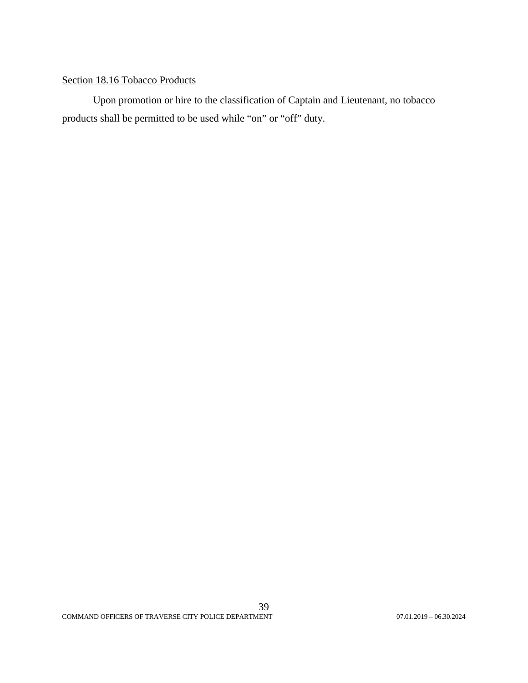## <span id="page-38-0"></span>Section 18.16 Tobacco Products

Upon promotion or hire to the classification of Captain and Lieutenant, no tobacco products shall be permitted to be used while "on" or "off" duty.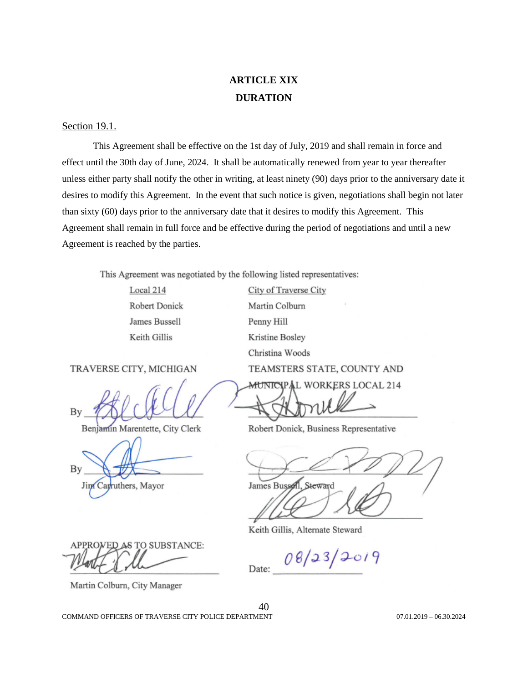# **ARTICLE XIX DURATION**

## <span id="page-39-2"></span><span id="page-39-1"></span><span id="page-39-0"></span>Section 19.1.

This Agreement shall be effective on the 1st day of July, 2019 and shall remain in force and effect until the 30th day of June, 2024. It shall be automatically renewed from year to year thereafter unless either party shall notify the other in writing, at least ninety (90) days prior to the anniversary date it desires to modify this Agreement. In the event that such notice is given, negotiations shall begin not later than sixty (60) days prior to the anniversary date that it desires to modify this Agreement. This Agreement shall remain in full force and be effective during the period of negotiations and until a new Agreement is reached by the parties.

This Agreement was negotiated by the following listed representatives:

Local 214 Robert Donick James Bussell Keith Gillis

City of Traverse City Martin Colburn Penny Hill Kristine Bosley Christina Woods TEAMSTERS STATE, COUNTY AND **MUNICIPAL WORKERS LOCAL 214** 

TRAVERSE CITY, MICHIGAN

By

Benjamin Marentette, City Clerk

By Jim Carruthers, Mayor

**AS TO SUBSTANCE: APPROVED** 

Martin Colburn, City Manager

Robert Donick, Business Representative

James Bussell, Steward

Keith Gillis, Alternate Steward

08/23/2019 Date:

40 COMMAND OFFICERS OF TRAVERSE CITY POLICE DEPARTMENT 07.01.2019 – 06.30.2024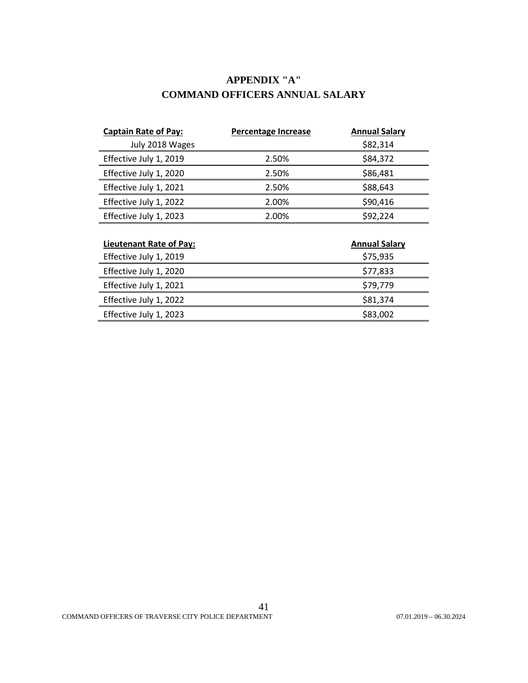# **APPENDIX "A" COMMAND OFFICERS ANNUAL SALARY**

<span id="page-40-1"></span><span id="page-40-0"></span>

| <b>Captain Rate of Pay:</b><br><b>Percentage Increase</b> |       | <b>Annual Salary</b> |  |
|-----------------------------------------------------------|-------|----------------------|--|
| July 2018 Wages                                           |       | \$82,314             |  |
| Effective July 1, 2019                                    | 2.50% | \$84,372             |  |
| Effective July 1, 2020                                    | 2.50% | \$86,481             |  |
| Effective July 1, 2021                                    | 2.50% | \$88,643             |  |
| Effective July 1, 2022                                    | 2.00% | \$90,416             |  |
| Effective July 1, 2023                                    | 2.00% | \$92,224             |  |
|                                                           |       |                      |  |
| l jeutenant Rate of Pav                                   |       | Annual Salary        |  |

| Lieutenant Rate of Pay. | Alliludi Salary |
|-------------------------|-----------------|
| Effective July 1, 2019  | \$75,935        |
| Effective July 1, 2020  | \$77,833        |
| Effective July 1, 2021  | \$79,779        |
| Effective July 1, 2022  | \$81,374        |
| Effective July 1, 2023  | \$83,002        |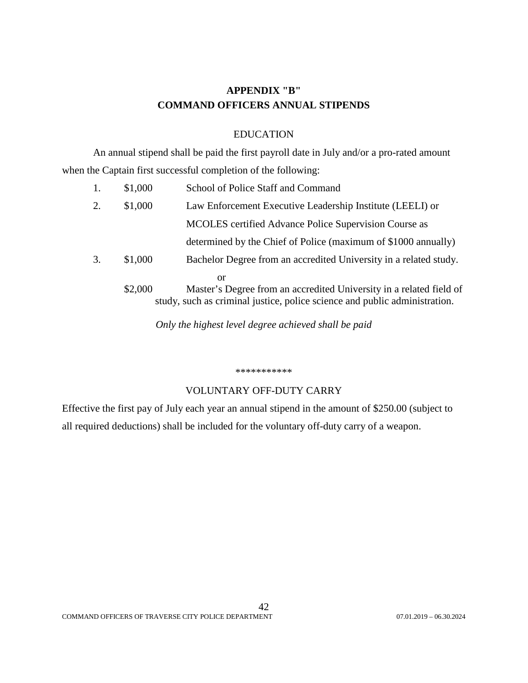# **APPENDIX "B" COMMAND OFFICERS ANNUAL STIPENDS**

# EDUCATION

<span id="page-41-1"></span><span id="page-41-0"></span>An annual stipend shall be paid the first payroll date in July and/or a pro-rated amount when the Captain first successful completion of the following:

| \$1,000 | School of Police Staff and Command                                                                                                                |
|---------|---------------------------------------------------------------------------------------------------------------------------------------------------|
| \$1,000 | Law Enforcement Executive Leadership Institute (LEELI) or                                                                                         |
|         | MCOLES certified Advance Police Supervision Course as                                                                                             |
|         | determined by the Chief of Police (maximum of \$1000 annually)                                                                                    |
| \$1,000 | Bachelor Degree from an accredited University in a related study.                                                                                 |
|         | or                                                                                                                                                |
| \$2,000 | Master's Degree from an accredited University in a related field of<br>study, such as criminal justice, police science and public administration. |
|         |                                                                                                                                                   |

*Only the highest level degree achieved shall be paid*

#### \*\*\*\*\*\*\*\*\*\*\*

# VOLUNTARY OFF-DUTY CARRY

Effective the first pay of July each year an annual stipend in the amount of \$250.00 (subject to all required deductions) shall be included for the voluntary off-duty carry of a weapon.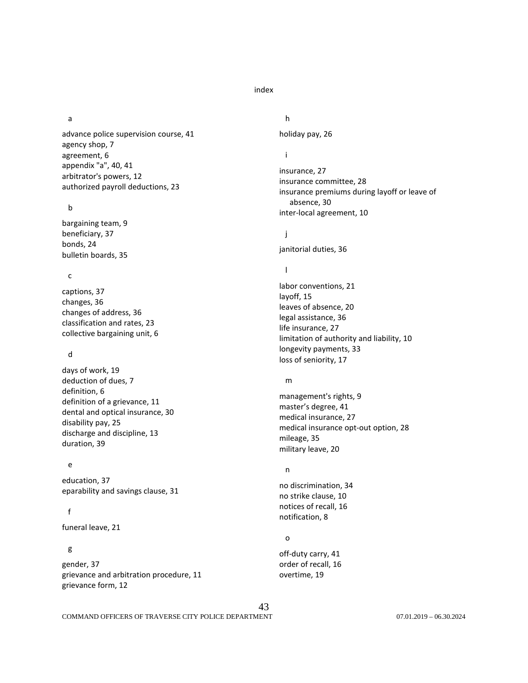index

#### <span id="page-42-0"></span>a

advance police supervision course, 41 agency shop, 7 agreement, 6 appendix "a", 40, 41 arbitrator's powers, 12 authorized payroll deductions, 23

#### b

bargaining team, 9 beneficiary, 37 bonds, 24 bulletin boards, 35

#### c

captions, 37 changes, 36 changes of address, 36 classification and rates, 23 collective bargaining unit, 6

#### d

days of work, 19 deduction of dues, 7 definition, 6 definition of a grievance, 11 dental and optical insurance, 30 disability pay, 25 discharge and discipline, 13 duration, 39

## e

education, 37 eparability and savings clause, 31

### f

funeral leave, 21

## g

gender, 37 grievance and arbitration procedure, 11 grievance form, 12

## h

holiday pay, 26

#### i

insurance, 27 insurance committee, 28 insurance premiums during layoff or leave of absence, 30 inter-local agreement, 10

## j

janitorial duties, 36

### l

labor conventions, 21 layoff, 15 leaves of absence, 20 legal assistance, 36 life insurance, 27 limitation of authority and liability, 10 longevity payments, 33 loss of seniority, 17

#### m

management's rights, 9 master's degree, 41 medical insurance, 27 medical insurance opt-out option, 28 mileage, 35 military leave, 20

#### n

no discrimination, 34 no strike clause, 10 notices of recall, 16 notification, 8

### o

43

off-duty carry, 41 order of recall, 16 overtime, 19